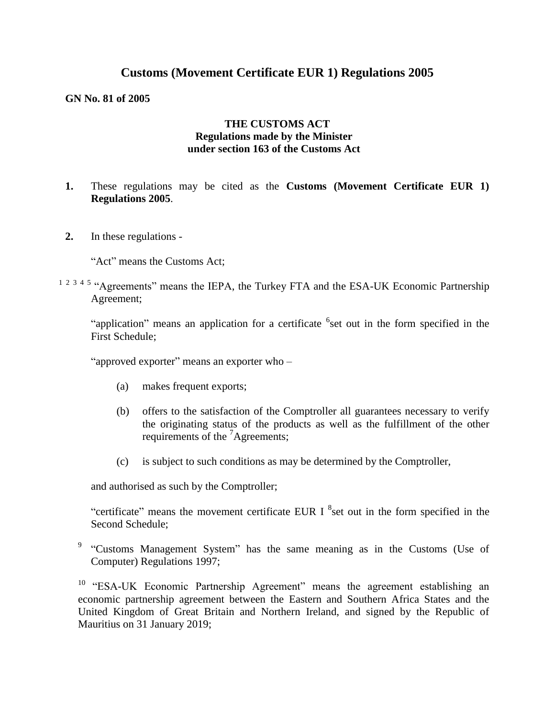## **Customs (Movement Certificate EUR 1) Regulations 2005**

#### **GN No. 81 of 2005**

#### **THE CUSTOMS ACT Regulations made by the Minister under section 163 of the Customs Act**

- **1.** These regulations may be cited as the **Customs (Movement Certificate EUR 1) Regulations 2005**.
- **2.** In these regulations -

"Act" means the Customs Act;

 $1 2 3 4 5$  "Agreements" means the IEPA, the Turkey FTA and the ESA-UK Economic Partnership Agreement;

"application" means an application for a certificate <sup>6</sup>set out in the form specified in the First Schedule;

"approved exporter" means an exporter who –

- (a) makes frequent exports;
- (b) offers to the satisfaction of the Comptroller all guarantees necessary to verify the originating status of the products as well as the fulfillment of the other requirements of the <sup>7</sup>Agreements;
- (c) is subject to such conditions as may be determined by the Comptroller,

and authorised as such by the Comptroller;

"certificate" means the movement certificate EUR I  ${}^{8}$ set out in the form specified in the Second Schedule;

<sup>9</sup> "Customs Management System" has the same meaning as in the Customs (Use of Computer) Regulations 1997;

<sup>10</sup> "ESA-UK Economic Partnership Agreement" means the agreement establishing an economic partnership agreement between the Eastern and Southern Africa States and the United Kingdom of Great Britain and Northern Ireland, and signed by the Republic of Mauritius on 31 January 2019;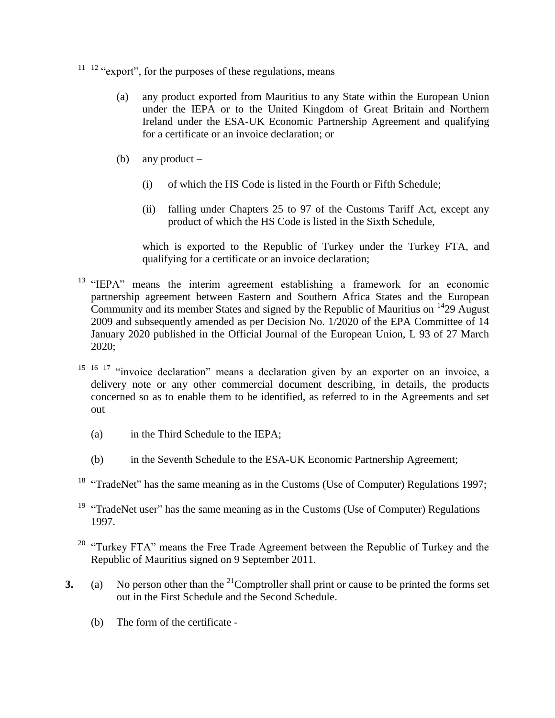- $11 \t12$  "export", for the purposes of these regulations, means
	- (a) any product exported from Mauritius to any State within the European Union under the IEPA or to the United Kingdom of Great Britain and Northern Ireland under the ESA-UK Economic Partnership Agreement and qualifying for a certificate or an invoice declaration; or
	- (b) any product  $-$ 
		- (i) of which the HS Code is listed in the Fourth or Fifth Schedule;
		- (ii) falling under Chapters 25 to 97 of the Customs Tariff Act, except any product of which the HS Code is listed in the Sixth Schedule,

which is exported to the Republic of Turkey under the Turkey FTA, and qualifying for a certificate or an invoice declaration;

- <sup>13</sup> "IEPA" means the interim agreement establishing a framework for an economic partnership agreement between Eastern and Southern Africa States and the European Community and its member States and signed by the Republic of Mauritius on  $1429$  August 2009 and subsequently amended as per Decision No. 1/2020 of the EPA Committee of 14 January 2020 published in the Official Journal of the European Union, L 93 of 27 March 2020;
- <sup>15 16 17</sup> "invoice declaration" means a declaration given by an exporter on an invoice, a delivery note or any other commercial document describing, in details, the products concerned so as to enable them to be identified, as referred to in the Agreements and set  $out -$ 
	- (a) in the Third Schedule to the IEPA;
	- (b) in the Seventh Schedule to the ESA-UK Economic Partnership Agreement;
- <sup>18</sup> "TradeNet" has the same meaning as in the Customs (Use of Computer) Regulations 1997;
- <sup>19</sup> "TradeNet user" has the same meaning as in the Customs (Use of Computer) Regulations 1997.
- <sup>20</sup> "Turkey FTA" means the Free Trade Agreement between the Republic of Turkey and the Republic of Mauritius signed on 9 September 2011.
- **3.** (a) No person other than the  ${}^{21}$ Comptroller shall print or cause to be printed the forms set out in the First Schedule and the Second Schedule.
	- (b) The form of the certificate -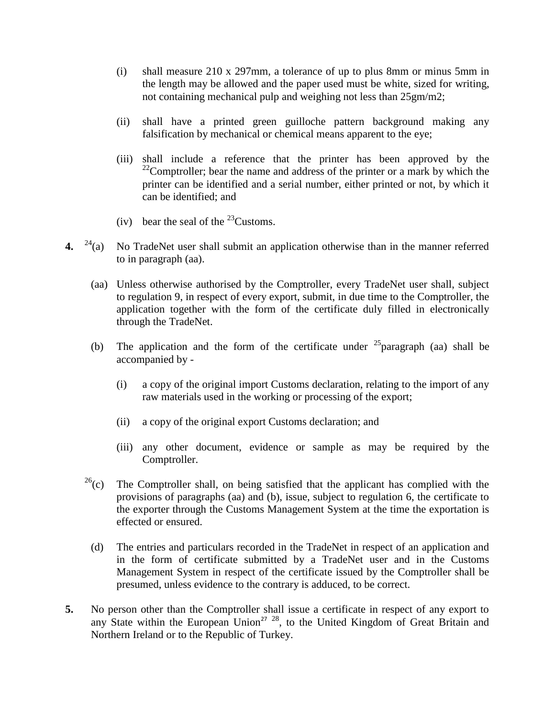- (i) shall measure 210 x 297mm, a tolerance of up to plus 8mm or minus 5mm in the length may be allowed and the paper used must be white, sized for writing, not containing mechanical pulp and weighing not less than 25gm/m2;
- (ii) shall have a printed green guilloche pattern background making any falsification by mechanical or chemical means apparent to the eye;
- (iii) shall include a reference that the printer has been approved by the  $22$ Comptroller; bear the name and address of the printer or a mark by which the printer can be identified and a serial number, either printed or not, by which it can be identified; and
- (iv) bear the seal of the  $^{23}$ Customs.
- **4.** <sup>24</sup>(a) No TradeNet user shall submit an application otherwise than in the manner referred to in paragraph (aa).
	- (aa) Unless otherwise authorised by the Comptroller, every TradeNet user shall, subject to regulation 9, in respect of every export, submit, in due time to the Comptroller, the application together with the form of the certificate duly filled in electronically through the TradeNet.
	- (b) The application and the form of the certificate under  $25$  paragraph (aa) shall be accompanied by -
		- (i) a copy of the original import Customs declaration, relating to the import of any raw materials used in the working or processing of the export;
		- (ii) a copy of the original export Customs declaration; and
		- (iii) any other document, evidence or sample as may be required by the Comptroller.
	- $^{26}$ (c) The Comptroller shall, on being satisfied that the applicant has complied with the provisions of paragraphs (aa) and (b), issue, subject to regulation 6, the certificate to the exporter through the Customs Management System at the time the exportation is effected or ensured.
		- (d) The entries and particulars recorded in the TradeNet in respect of an application and in the form of certificate submitted by a TradeNet user and in the Customs Management System in respect of the certificate issued by the Comptroller shall be presumed, unless evidence to the contrary is adduced, to be correct.
- **5.** No person other than the Comptroller shall issue a certificate in respect of any export to any State within the European Union<sup>27 28</sup>, to the United Kingdom of Great Britain and Northern Ireland or to the Republic of Turkey.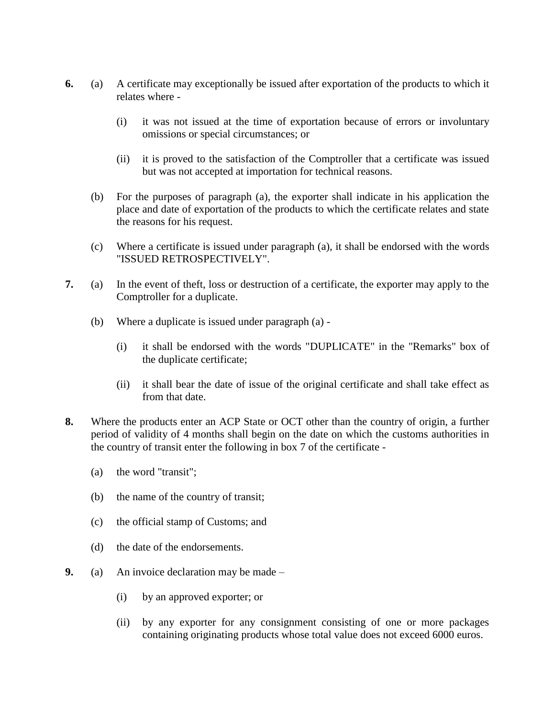- **6.** (a) A certificate may exceptionally be issued after exportation of the products to which it relates where -
	- (i) it was not issued at the time of exportation because of errors or involuntary omissions or special circumstances; or
	- (ii) it is proved to the satisfaction of the Comptroller that a certificate was issued but was not accepted at importation for technical reasons.
	- (b) For the purposes of paragraph (a), the exporter shall indicate in his application the place and date of exportation of the products to which the certificate relates and state the reasons for his request.
	- (c) Where a certificate is issued under paragraph (a), it shall be endorsed with the words "ISSUED RETROSPECTIVELY".
- **7.** (a) In the event of theft, loss or destruction of a certificate, the exporter may apply to the Comptroller for a duplicate.
	- (b) Where a duplicate is issued under paragraph (a)
		- (i) it shall be endorsed with the words "DUPLICATE" in the "Remarks" box of the duplicate certificate;
		- (ii) it shall bear the date of issue of the original certificate and shall take effect as from that date.
- **8.** Where the products enter an ACP State or OCT other than the country of origin, a further period of validity of 4 months shall begin on the date on which the customs authorities in the country of transit enter the following in box 7 of the certificate -
	- (a) the word "transit";
	- (b) the name of the country of transit;
	- (c) the official stamp of Customs; and
	- (d) the date of the endorsements.
- **9.** (a) An invoice declaration may be made
	- (i) by an approved exporter; or
	- (ii) by any exporter for any consignment consisting of one or more packages containing originating products whose total value does not exceed 6000 euros.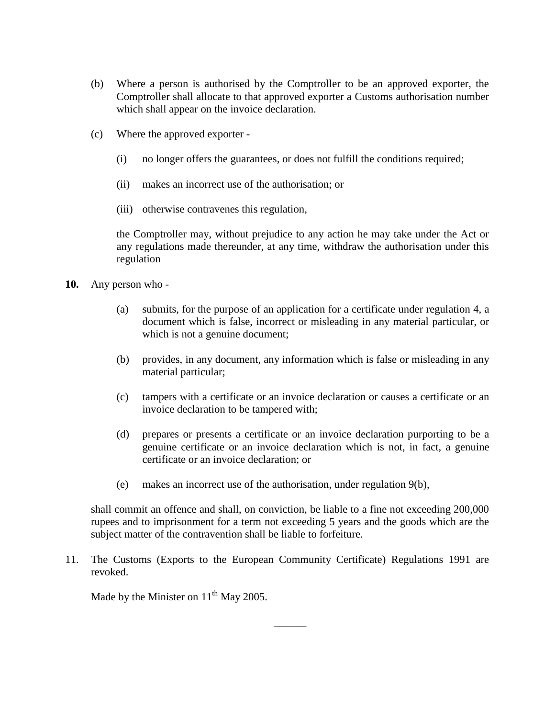- (b) Where a person is authorised by the Comptroller to be an approved exporter, the Comptroller shall allocate to that approved exporter a Customs authorisation number which shall appear on the invoice declaration.
- (c) Where the approved exporter
	- (i) no longer offers the guarantees, or does not fulfill the conditions required;
	- (ii) makes an incorrect use of the authorisation; or
	- (iii) otherwise contravenes this regulation,

the Comptroller may, without prejudice to any action he may take under the Act or any regulations made thereunder, at any time, withdraw the authorisation under this regulation

- **10.** Any person who
	- (a) submits, for the purpose of an application for a certificate under regulation 4, a document which is false, incorrect or misleading in any material particular, or which is not a genuine document;
	- (b) provides, in any document, any information which is false or misleading in any material particular;
	- (c) tampers with a certificate or an invoice declaration or causes a certificate or an invoice declaration to be tampered with;
	- (d) prepares or presents a certificate or an invoice declaration purporting to be a genuine certificate or an invoice declaration which is not, in fact, a genuine certificate or an invoice declaration; or
	- (e) makes an incorrect use of the authorisation, under regulation 9(b),

shall commit an offence and shall, on conviction, be liable to a fine not exceeding 200,000 rupees and to imprisonment for a term not exceeding 5 years and the goods which are the subject matter of the contravention shall be liable to forfeiture.

 $\overline{\phantom{a}}$ 

11. The Customs (Exports to the European Community Certificate) Regulations 1991 are revoked.

Made by the Minister on  $11<sup>th</sup>$  May 2005.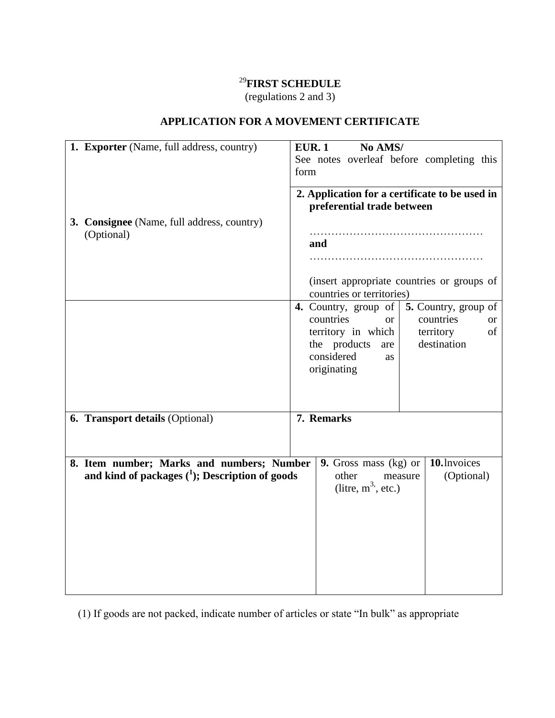# <sup>29</sup>**FIRST SCHEDULE**

(regulations 2 and 3)

| 1. Exporter (Name, full address, country)                                                       | No AMS/<br><b>EUR. 1</b>                                                                                                          |
|-------------------------------------------------------------------------------------------------|-----------------------------------------------------------------------------------------------------------------------------------|
|                                                                                                 | See notes overleaf before completing this<br>form                                                                                 |
| 3. Consignee (Name, full address, country)<br>(Optional)                                        | 2. Application for a certificate to be used in<br>preferential trade between<br>and<br>(insert appropriate countries or groups of |
|                                                                                                 | countries or territories)<br><b>4.</b> Country, group of $\vert$ <b>5.</b> Country, group of                                      |
|                                                                                                 | countries<br>countries<br><sub>or</sub><br><b>or</b>                                                                              |
|                                                                                                 | territory in which<br>territory<br>of<br>destination                                                                              |
|                                                                                                 | the products<br>are<br>considered<br>as                                                                                           |
|                                                                                                 | originating                                                                                                                       |
|                                                                                                 |                                                                                                                                   |
| 6. Transport details (Optional)                                                                 | 7. Remarks                                                                                                                        |
|                                                                                                 |                                                                                                                                   |
| 8. Item number; Marks and numbers; Number<br>and kind of packages $(^1)$ ; Description of goods | 10. Invoices<br>9. Gross mass (kg) or<br>(Optional)<br>other<br>measure<br>(litre, $m^3$ , etc.)                                  |
|                                                                                                 |                                                                                                                                   |

## **APPLICATION FOR A MOVEMENT CERTIFICATE**

(1) If goods are not packed, indicate number of articles or state "In bulk" as appropriate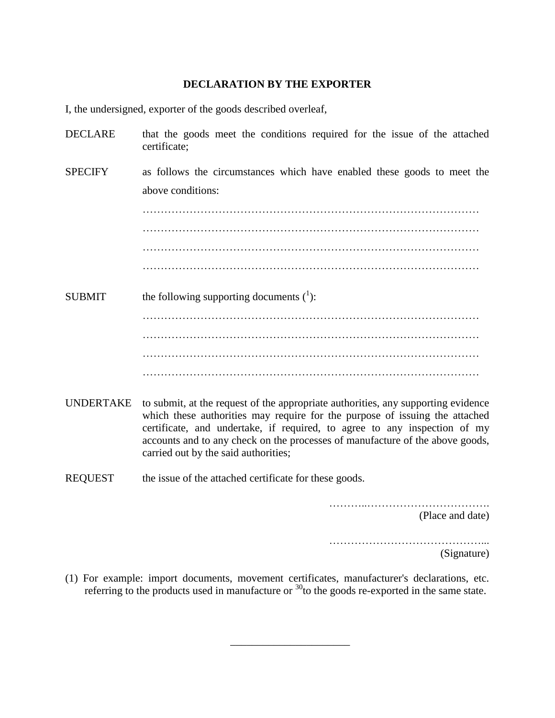#### **DECLARATION BY THE EXPORTER**

I, the undersigned, exporter of the goods described overleaf,

| <b>DECLARE</b> | that the goods meet the conditions required for the issue of the attached<br>certificate;                                                                        |
|----------------|------------------------------------------------------------------------------------------------------------------------------------------------------------------|
| <b>SPECIFY</b> | as follows the circumstances which have enabled these goods to meet the                                                                                          |
|                | above conditions:                                                                                                                                                |
|                |                                                                                                                                                                  |
|                |                                                                                                                                                                  |
|                |                                                                                                                                                                  |
|                |                                                                                                                                                                  |
| <b>SUBMIT</b>  | the following supporting documents $(1)$ :                                                                                                                       |
|                |                                                                                                                                                                  |
|                |                                                                                                                                                                  |
|                |                                                                                                                                                                  |
|                |                                                                                                                                                                  |
| UNDERTAKE      | to submit, at the request of the appropriate authorities, any supporting evidence<br>which these authorities may require for the purpose of issuing the attached |

which these authorities may require for the purpose of issuing the attached certificate, and undertake, if required, to agree to any inspection of my accounts and to any check on the processes of manufacture of the above goods, carried out by the said authorities;

REQUEST the issue of the attached certificate for these goods.

………..…………………………….

(Place and date)

……………………………………... (Signature)

(1) For example: import documents, movement certificates, manufacturer's declarations, etc. referring to the products used in manufacture or  $30$  to the goods re-exported in the same state.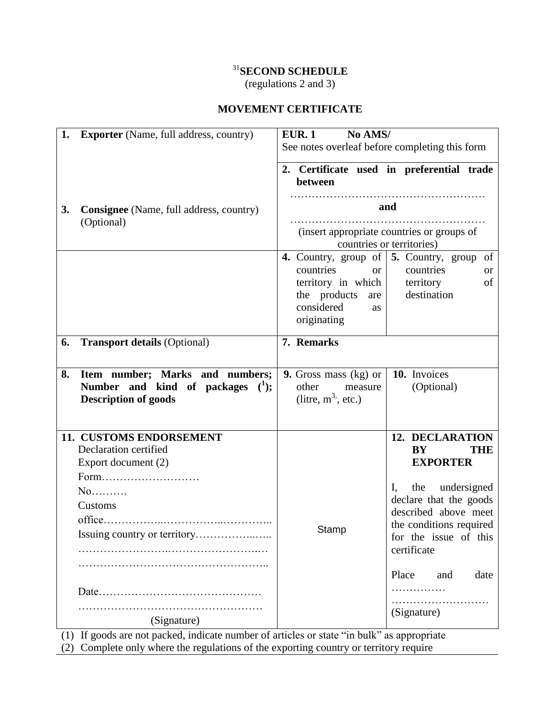# <sup>31</sup>**SECOND SCHEDULE**

(regulations 2 and 3)

## **MOVEMENT CERTIFICATE**

| <b>Exporter</b> (Name, full address, country)<br>1.                                                                                                                                | No AMS/<br>EUR.1<br>See notes overleaf before completing this form                                                                                                                                                                                   |
|------------------------------------------------------------------------------------------------------------------------------------------------------------------------------------|------------------------------------------------------------------------------------------------------------------------------------------------------------------------------------------------------------------------------------------------------|
|                                                                                                                                                                                    | 2. Certificate used in preferential trade<br>between                                                                                                                                                                                                 |
| <b>Consignee</b> (Name, full address, country)<br>3.<br>(Optional)                                                                                                                 | and<br>(insert appropriate countries or groups of<br>countries or territories)                                                                                                                                                                       |
|                                                                                                                                                                                    | 4. Country, group of   5. Country, group of<br>countries<br>countries<br><sub>or</sub><br><b>or</b><br>of<br>territory in which $\vert$<br>territory<br>destination<br>the products<br>are<br>considered<br><b>as</b><br>originating                 |
| <b>Transport details (Optional)</b><br>6.                                                                                                                                          | 7. Remarks                                                                                                                                                                                                                                           |
| Item number; Marks and numbers;<br>8.<br>Number and kind of packages $(1)$ ;<br><b>Description of goods</b>                                                                        | 10. Invoices<br><b>9.</b> Gross mass $(kg)$ or<br>(Optional)<br>other<br>measure<br>(litre, $m^3$ , etc.)                                                                                                                                            |
| 11. CUSTOMS ENDORSEMENT<br>Declaration certified<br>Export document (2)<br>Form<br>$No$<br>Customs<br>(Signature)                                                                  | 12. DECLARATION<br>BY<br><b>THE</b><br><b>EXPORTER</b><br>the undersigned<br>I,<br>declare that the goods<br>described above meet<br>the conditions required<br>Stamp<br>for the issue of this<br>certificate<br>Place<br>and<br>date<br>(Signature) |
| (1) If goods are not packed, indicate number of articles or state "in bulk" as appropriate<br>(2) Complete only where the requisions of the exporting country or territory require |                                                                                                                                                                                                                                                      |

(2) Complete only where the regulations of the exporting country or territory require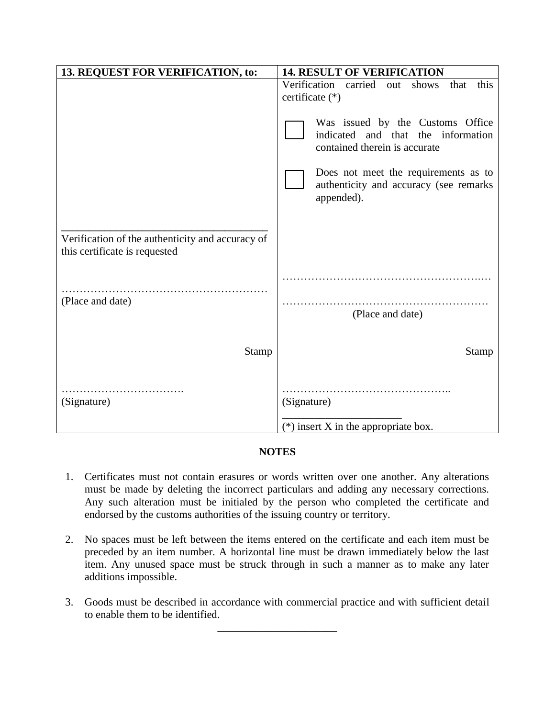| 13. REQUEST FOR VERIFICATION, to:                                                 | <b>14. RESULT OF VERIFICATION</b>                                                                          |  |
|-----------------------------------------------------------------------------------|------------------------------------------------------------------------------------------------------------|--|
|                                                                                   | Verification<br>carried<br>shows<br>that<br>this<br>out<br>certificate (*)                                 |  |
|                                                                                   | Was issued by the Customs Office<br>indicated<br>and that the information<br>contained therein is accurate |  |
|                                                                                   | Does not meet the requirements as to<br>authenticity and accuracy (see remarks<br>appended).               |  |
| Verification of the authenticity and accuracy of<br>this certificate is requested |                                                                                                            |  |
|                                                                                   |                                                                                                            |  |
| (Place and date)                                                                  | (Place and date)                                                                                           |  |
| <b>Stamp</b>                                                                      | <b>Stamp</b>                                                                                               |  |
| (Signature)                                                                       | (Signature)                                                                                                |  |
|                                                                                   | $(*)$ insert X in the appropriate box.                                                                     |  |

### **NOTES**

- 1. Certificates must not contain erasures or words written over one another. Any alterations must be made by deleting the incorrect particulars and adding any necessary corrections. Any such alteration must be initialed by the person who completed the certificate and endorsed by the customs authorities of the issuing country or territory.
- 2. No spaces must be left between the items entered on the certificate and each item must be preceded by an item number. A horizontal line must be drawn immediately below the last item. Any unused space must be struck through in such a manner as to make any later additions impossible.
- 3. Goods must be described in accordance with commercial practice and with sufficient detail to enable them to be identified.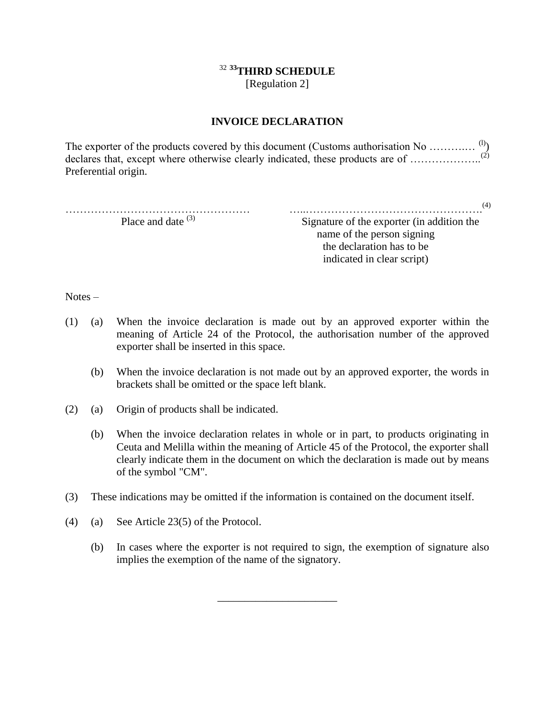## <sup>32</sup> **<sup>33</sup>THIRD SCHEDULE**

[Regulation 2]

### **INVOICE DECLARATION**

The exporter of the products covered by this document (Customs authorisation No  $\dots\dots\dots\dots\dots$ <sup>(l)</sup>) declares that, except where otherwise clearly indicated, these products are of .................... Preferential origin.

…………………………………………… Place and date <sup>(3)</sup>

…..…………………………………………. (4)

Signature of the exporter (in addition the name of the person signing the declaration has to be indicated in clear script)

Notes –

- (1) (a) When the invoice declaration is made out by an approved exporter within the meaning of Article 24 of the Protocol, the authorisation number of the approved exporter shall be inserted in this space.
	- (b) When the invoice declaration is not made out by an approved exporter, the words in brackets shall be omitted or the space left blank.
- (2) (a) Origin of products shall be indicated.
	- (b) When the invoice declaration relates in whole or in part, to products originating in Ceuta and Melilla within the meaning of Article 45 of the Protocol, the exporter shall clearly indicate them in the document on which the declaration is made out by means of the symbol "CM".
- (3) These indications may be omitted if the information is contained on the document itself.
- (4) (a) See Article 23(5) of the Protocol.
	- (b) In cases where the exporter is not required to sign, the exemption of signature also implies the exemption of the name of the signatory.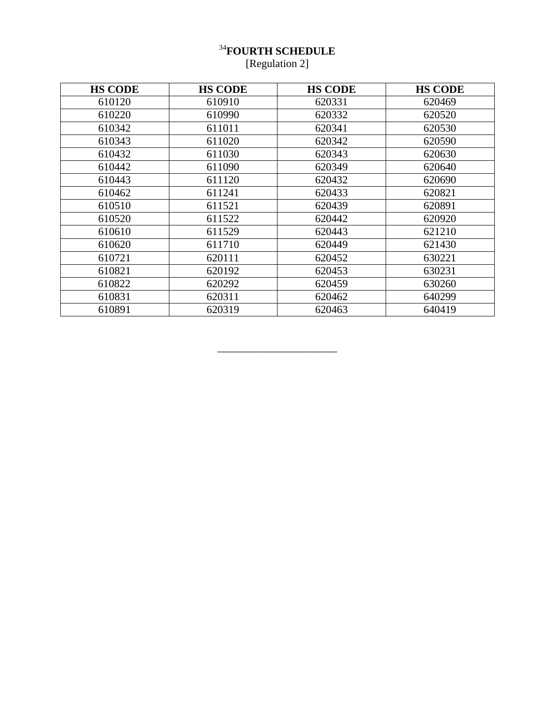## **FOURTH SCHEDULE** [Regulation 2]

| <b>HS CODE</b> | <b>HS CODE</b> | <b>HS CODE</b> | <b>HS CODE</b> |
|----------------|----------------|----------------|----------------|
| 610120         | 610910         | 620331         | 620469         |
| 610220         | 610990         | 620332         | 620520         |
| 610342         | 611011         | 620341         | 620530         |
| 610343         | 611020         | 620342         | 620590         |
| 610432         | 611030         | 620343         | 620630         |
| 610442         | 611090         | 620349         | 620640         |
| 610443         | 611120         | 620432         | 620690         |
| 610462         | 611241         | 620433         | 620821         |
| 610510         | 611521         | 620439         | 620891         |
| 610520         | 611522         | 620442         | 620920         |
| 610610         | 611529         | 620443         | 621210         |
| 610620         | 611710         | 620449         | 621430         |
| 610721         | 620111         | 620452         | 630221         |
| 610821         | 620192         | 620453         | 630231         |
| 610822         | 620292         | 620459         | 630260         |
| 610831         | 620311         | 620462         | 640299         |
| 610891         | 620319         | 620463         | 640419         |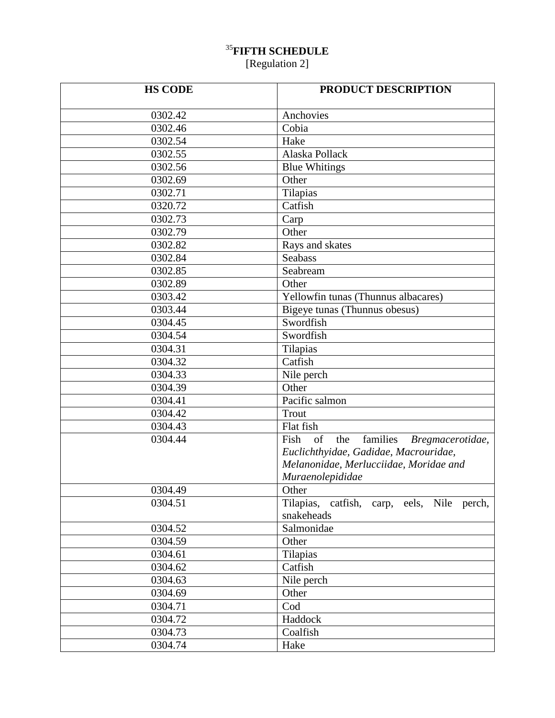## <sup>35</sup>**FIFTH SCHEDULE**

[Regulation 2]

| <b>HS CODE</b> | PRODUCT DESCRIPTION                                             |  |
|----------------|-----------------------------------------------------------------|--|
| 0302.42        | Anchovies                                                       |  |
| 0302.46        | Cobia                                                           |  |
| 0302.54        | Hake                                                            |  |
| 0302.55        | Alaska Pollack                                                  |  |
| 0302.56        | <b>Blue Whitings</b>                                            |  |
| 0302.69        | Other                                                           |  |
| 0302.71        | Tilapias                                                        |  |
| 0320.72        | Catfish                                                         |  |
| 0302.73        | Carp                                                            |  |
| 0302.79        | Other                                                           |  |
| 0302.82        | Rays and skates                                                 |  |
| 0302.84        | Seabass                                                         |  |
| 0302.85        | Seabream                                                        |  |
| 0302.89        | Other                                                           |  |
| 0303.42        | Yellowfin tunas (Thunnus albacares)                             |  |
| 0303.44        | Bigeye tunas (Thunnus obesus)                                   |  |
| 0304.45        | Swordfish                                                       |  |
| 0304.54        | Swordfish                                                       |  |
| 0304.31        | Tilapias                                                        |  |
| 0304.32        | Catfish                                                         |  |
| 0304.33        | Nile perch                                                      |  |
| 0304.39        | Other                                                           |  |
| 0304.41        | Pacific salmon                                                  |  |
| 0304.42        | Trout                                                           |  |
| 0304.43        | Flat fish                                                       |  |
| 0304.44        | $\overline{\text{Fish}}$ of the<br>families<br>Bregmacerotidae, |  |
|                | Euclichthyidae, Gadidae, Macrouridae,                           |  |
|                | Melanonidae, Merlucciidae, Moridae and                          |  |
|                | Muraenolepididae                                                |  |
| 0304.49        | Other                                                           |  |
| 0304.51        | Tilapias, catfish, carp, eels, Nile perch,                      |  |
|                | snakeheads                                                      |  |
| 0304.52        | Salmonidae                                                      |  |
| 0304.59        | Other                                                           |  |
| 0304.61        | Tilapias                                                        |  |
| 0304.62        | Catfish                                                         |  |
| 0304.63        | Nile perch                                                      |  |
| 0304.69        | Other                                                           |  |
| 0304.71        | Cod                                                             |  |
| 0304.72        | Haddock                                                         |  |
| 0304.73        | Coalfish                                                        |  |
| 0304.74        | Hake                                                            |  |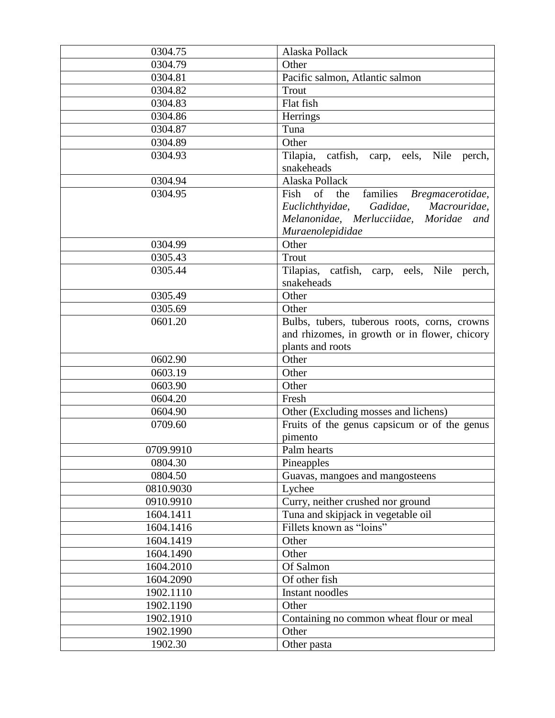| 0304.75   | Alaska Pollack                                                                                                                                                          |  |
|-----------|-------------------------------------------------------------------------------------------------------------------------------------------------------------------------|--|
| 0304.79   | Other                                                                                                                                                                   |  |
| 0304.81   | Pacific salmon, Atlantic salmon                                                                                                                                         |  |
| 0304.82   | Trout                                                                                                                                                                   |  |
| 0304.83   | Flat fish                                                                                                                                                               |  |
| 0304.86   | Herrings                                                                                                                                                                |  |
| 0304.87   | Tuna                                                                                                                                                                    |  |
| 0304.89   | Other                                                                                                                                                                   |  |
| 0304.93   | Tilapia, catfish, carp, eels, Nile<br>perch,<br>snakeheads                                                                                                              |  |
| 0304.94   | Alaska Pollack                                                                                                                                                          |  |
| 0304.95   | $\overline{\text{F}}$ ish of the<br>families Bregmacerotidae,<br>Gadidae, Macrouridae,<br>Euclichthyidae,<br>Melanonidae, Merlucciidae, Moridae and<br>Muraenolepididae |  |
| 0304.99   | Other                                                                                                                                                                   |  |
| 0305.43   | Trout                                                                                                                                                                   |  |
| 0305.44   | Tilapias, catfish, carp, eels, Nile perch,<br>snakeheads                                                                                                                |  |
| 0305.49   | Other                                                                                                                                                                   |  |
| 0305.69   | Other                                                                                                                                                                   |  |
| 0601.20   | Bulbs, tubers, tuberous roots, corns, crowns<br>and rhizomes, in growth or in flower, chicory<br>plants and roots                                                       |  |
| 0602.90   | Other                                                                                                                                                                   |  |
| 0603.19   | Other                                                                                                                                                                   |  |
| 0603.90   | Other                                                                                                                                                                   |  |
| 0604.20   | Fresh                                                                                                                                                                   |  |
| 0604.90   | Other (Excluding mosses and lichens)                                                                                                                                    |  |
| 0709.60   | Fruits of the genus capsicum or of the genus<br>pimento                                                                                                                 |  |
| 0709.9910 | Palm hearts                                                                                                                                                             |  |
| 0804.30   | Pineapples                                                                                                                                                              |  |
| 0804.50   | Guavas, mangoes and mangosteens                                                                                                                                         |  |
| 0810.9030 | Lychee                                                                                                                                                                  |  |
| 0910.9910 | Curry, neither crushed nor ground                                                                                                                                       |  |
| 1604.1411 | Tuna and skipjack in vegetable oil                                                                                                                                      |  |
| 1604.1416 | Fillets known as "loins"                                                                                                                                                |  |
| 1604.1419 | Other                                                                                                                                                                   |  |
| 1604.1490 | Other                                                                                                                                                                   |  |
| 1604.2010 | Of Salmon                                                                                                                                                               |  |
| 1604.2090 | Of other fish                                                                                                                                                           |  |
| 1902.1110 | Instant noodles                                                                                                                                                         |  |
| 1902.1190 | Other                                                                                                                                                                   |  |
| 1902.1910 | Containing no common wheat flour or meal                                                                                                                                |  |
| 1902.1990 | Other                                                                                                                                                                   |  |
| 1902.30   | Other pasta                                                                                                                                                             |  |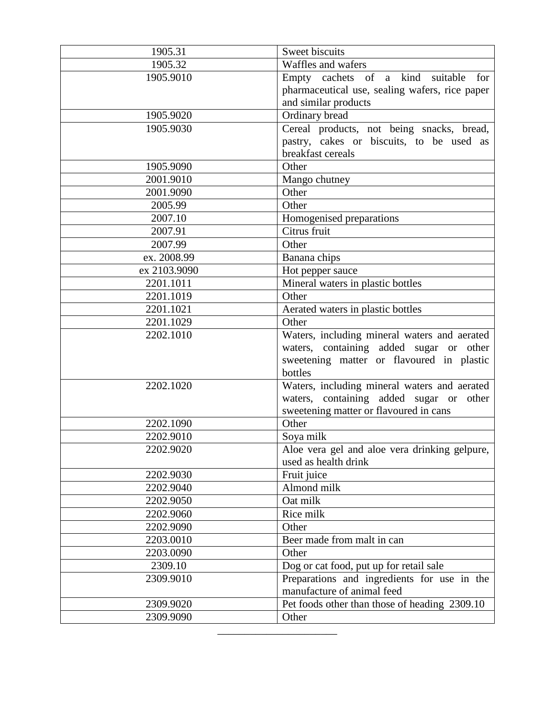| 1905.31      | Sweet biscuits                                 |  |
|--------------|------------------------------------------------|--|
| 1905.32      | Waffles and wafers                             |  |
| 1905.9010    | Empty cachets of a kind suitable<br>for        |  |
|              | pharmaceutical use, sealing wafers, rice paper |  |
|              | and similar products                           |  |
| 1905.9020    | Ordinary bread                                 |  |
| 1905.9030    | Cereal products, not being snacks, bread,      |  |
|              | pastry, cakes or biscuits, to be used as       |  |
|              | breakfast cereals                              |  |
| 1905.9090    | Other                                          |  |
| 2001.9010    | Mango chutney                                  |  |
| 2001.9090    | Other                                          |  |
| 2005.99      | Other                                          |  |
| 2007.10      | Homogenised preparations                       |  |
| 2007.91      | Citrus fruit                                   |  |
| 2007.99      | Other                                          |  |
| ex. 2008.99  | Banana chips                                   |  |
| ex 2103.9090 | Hot pepper sauce                               |  |
| 2201.1011    | Mineral waters in plastic bottles              |  |
| 2201.1019    | Other                                          |  |
| 2201.1021    | Aerated waters in plastic bottles              |  |
| 2201.1029    | Other                                          |  |
| 2202.1010    | Waters, including mineral waters and aerated   |  |
|              | waters, containing added sugar or other        |  |
|              | sweetening matter or flavoured in plastic      |  |
|              | bottles                                        |  |
| 2202.1020    | Waters, including mineral waters and aerated   |  |
|              | waters, containing added sugar or other        |  |
|              | sweetening matter or flavoured in cans         |  |
| 2202.1090    | Other                                          |  |
| 2202.9010    | Soya milk                                      |  |
| 2202.9020    | Aloe vera gel and aloe vera drinking gelpure,  |  |
|              | used as health drink                           |  |
| 2202.9030    | Fruit juice                                    |  |
| 2202.9040    | Almond milk                                    |  |
| 2202.9050    | Oat milk                                       |  |
| 2202.9060    | Rice milk                                      |  |
| 2202.9090    | Other                                          |  |
| 2203.0010    | Beer made from malt in can                     |  |
| 2203.0090    | Other                                          |  |
| 2309.10      | Dog or cat food, put up for retail sale        |  |
| 2309.9010    | Preparations and ingredients for use in the    |  |
|              | manufacture of animal feed                     |  |
| 2309.9020    | Pet foods other than those of heading 2309.10  |  |
| 2309.9090    | Other                                          |  |
|              |                                                |  |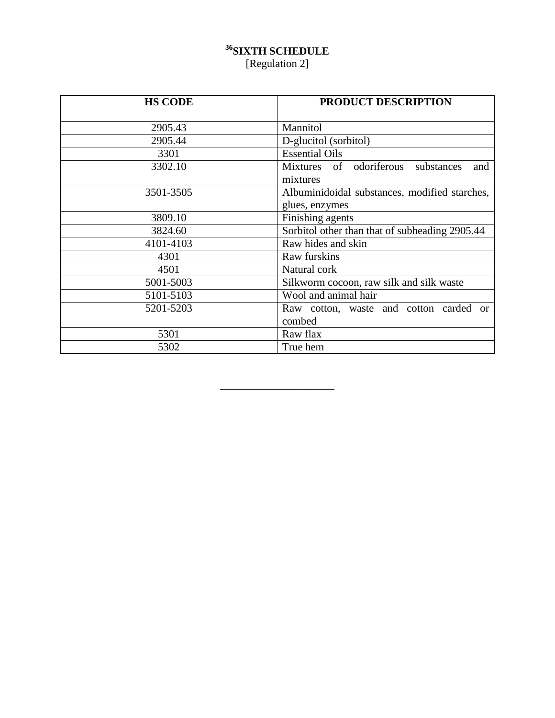## **<sup>36</sup>SIXTH SCHEDULE** [Regulation 2]

| <b>HS CODE</b> | <b>PRODUCT DESCRIPTION</b>                                      |
|----------------|-----------------------------------------------------------------|
| 2905.43        | Mannitol                                                        |
| 2905.44        | D-glucitol (sorbitol)                                           |
| 3301           | <b>Essential Oils</b>                                           |
| 3302.10        | Mixtures of odoriferous<br>substances<br>and<br>mixtures        |
| 3501-3505      | Albuminidoidal substances, modified starches,<br>glues, enzymes |
| 3809.10        | Finishing agents                                                |
| 3824.60        | Sorbitol other than that of subheading 2905.44                  |
| 4101-4103      | Raw hides and skin                                              |
| 4301           | Raw furskins                                                    |
| 4501           | Natural cork                                                    |
| 5001-5003      | Silkworm cocoon, raw silk and silk waste                        |
| 5101-5103      | Wool and animal hair                                            |
| 5201-5203      | Raw cotton, waste and cotton<br>carded<br>$\alpha$<br>combed    |
| 5301           | Raw flax                                                        |
| 5302           | True hem                                                        |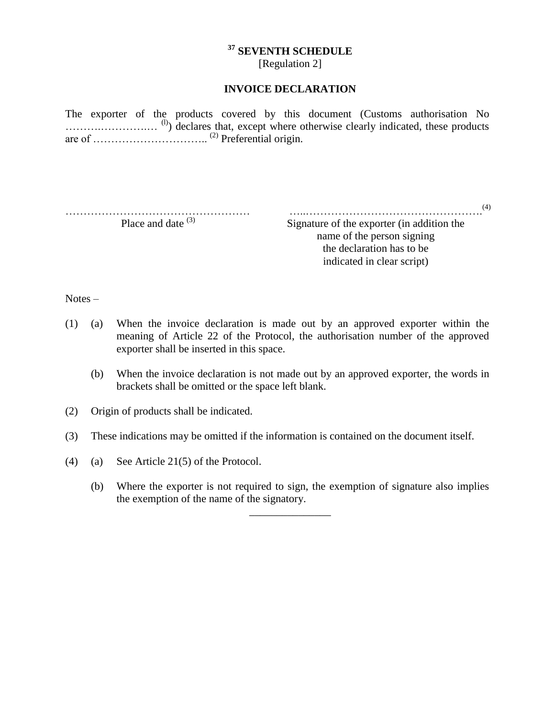## **<sup>37</sup> SEVENTH SCHEDULE**

[Regulation 2]

#### **INVOICE DECLARATION**

The exporter of the products covered by this document (Customs authorisation No ............................<sup>(l)</sup>) declares that, except where otherwise clearly indicated, these products are of ………………………….. (2) Preferential origin.

…………………………………………… Place and date  $(3)$ 

…..…………………………………………. (4) Signature of the exporter (in addition the name of the person signing the declaration has to be

indicated in clear script)

Notes –

- (1) (a) When the invoice declaration is made out by an approved exporter within the meaning of Article 22 of the Protocol, the authorisation number of the approved exporter shall be inserted in this space.
	- (b) When the invoice declaration is not made out by an approved exporter, the words in brackets shall be omitted or the space left blank.
- (2) Origin of products shall be indicated.
- (3) These indications may be omitted if the information is contained on the document itself.
- (4) (a) See Article 21(5) of the Protocol.
	- (b) Where the exporter is not required to sign, the exemption of signature also implies the exemption of the name of the signatory.

\_\_\_\_\_\_\_\_\_\_\_\_\_\_\_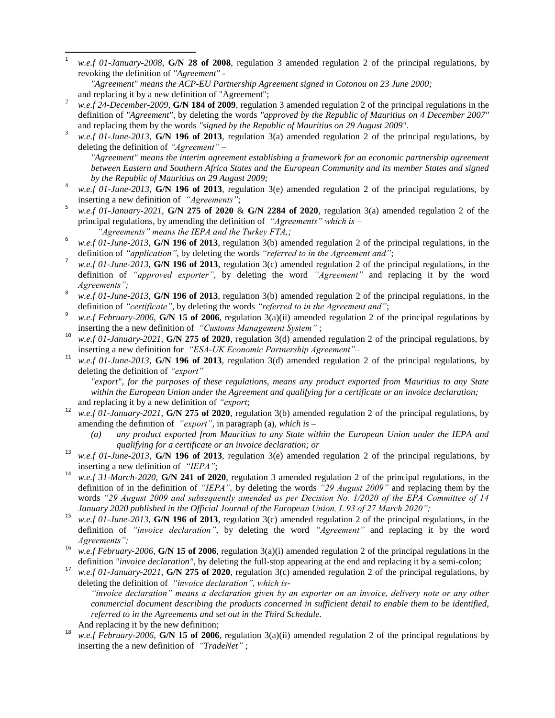$\frac{1}{1}$ *w.e.f 01-January-2008*, **G/N 28 of 2008**, regulation 3 amended regulation 2 of the principal regulations, by revoking the definition of *"Agreement"* -

- <sup>2</sup> *w.e.f 24-December-2009*, **G/N 184 of 2009**, regulation 3 amended regulation 2 of the principal regulations in the definition of *"Agreement",* by deleting the words *"approved by the Republic of Mauritius on 4 December 2007"* and replacing them by the words *"signed by the Republic of Mauritius on 29 August 2009"*.
- 3 *w.e.f 01-June-2013*, **G/N 196 of 2013**, regulation 3(a) amended regulation 2 of the principal regulations, by deleting the definition of *"Agreement"* –

*"Agreement" means the interim agreement establishing a framework for an economic partnership agreement between Eastern and Southern Africa States and the European Community and its member States and signed by the Republic of Mauritius on 29 August 2009;*

- 4 *w.e.f 01-June-2013*, **G/N 196 of 2013**, regulation 3(e) amended regulation 2 of the principal regulations, by inserting a new definition of *"Agreements"*;
- 5 *w.e.f 01-January-2021*, **G/N 275 of 2020** & **G/N 2284 of 2020**, regulation 3(a) amended regulation 2 of the principal regulations, by amending the definition of *"Agreements" which is – "Agreements" means the IEPA and the Turkey FTA,;*
- 6 *w.e.f 01-June-2013*, **G/N 196 of 2013**, regulation 3(b) amended regulation 2 of the principal regulations, in the definition of *"application"*, by deleting the words *"referred to in the Agreement and"*;
- 7 *w.e.f 01-June-2013*, **G/N 196 of 2013**, regulation 3(c) amended regulation 2 of the principal regulations, in the definition of *"approved exporter"*, by deleting the word *"Agreement"* and replacing it by the word *Agreements";*
- 8 *w.e.f 01-June-2013*, **G/N 196 of 2013**, regulation 3(b) amended regulation 2 of the principal regulations, in the definition of *"certificate"*, by deleting the words *"referred to in the Agreement and"*;
- 9 *w.e.f February-2006*, **G/N 15 of 2006**, regulation 3(a)(ii) amended regulation 2 of the principal regulations by inserting the a new definition of *"Customs Management System"* ;
- <sup>10</sup> *w.e.f 01-January-2021*, **G/N 275 of 2020**, regulation 3(d) amended regulation 2 of the principal regulations, by inserting a new definition for *"ESA-UK Economic Partnership Agreement"–*
- <sup>11</sup> *w.e.f 01-June-2013*, **G/N 196 of 2013**, regulation 3(d) amended regulation 2 of the principal regulations, by deleting the definition of *"export"*

*"export", for the purposes of these regulations, means any product exported from Mauritius to any State within the European Union under the Agreement and qualifying for a certificate or an invoice declaration;* and replacing it by a new definition of *"export*;

- <sup>12</sup> *w.e.f 01-January-2021*, **G/N 275 of 2020**, regulation 3(b) amended regulation 2 of the principal regulations, by amending the definition of *"export",* in paragraph (a)*, which is –*
	- *(a) any product exported from Mauritius to any State within the European Union under the IEPA and qualifying for a certificate or an invoice declaration; or*
- <sup>13</sup> *w.e.f 01-June-2013*, **G/N 196 of 2013**, regulation 3(e) amended regulation 2 of the principal regulations, by inserting a new definition of *"IEPA"*;
- <sup>14</sup> *w.e.f 31-March-2020*, **G/N 241 of 2020**, regulation 3 amended regulation 2 of the principal regulations, in the definition of in the definition of *"IEPA",* by deleting the words *"29 August 2009"* and replacing them by the words *"29 August 2009 and subsequently amended as per Decision No. 1/2020 of the EPA Committee of 14 January 2020 published in the Official Journal of the European Union, L 93 of 27 March 2020";*
- <sup>15</sup> *w.e.f 01-June-2013*, **G/N 196 of 2013**, regulation 3(c) amended regulation 2 of the principal regulations, in the definition of *"invoice declaration"*, by deleting the word *"Agreement"* and replacing it by the word *Agreements";*
- <sup>16</sup> *w.e.f February-2006*, **G/N 15 of 2006**, regulation 3(a)(i) amended regulation 2 of the principal regulations in the definition *"invoice declaration"*, by deleting the full-stop appearing at the end and replacing it by a semi-colon;
- <sup>17</sup> *w.e.f 01-January-2021*, **G/N 275 of 2020**, regulation  $3(c)$  amended regulation 2 of the principal regulations, by deleting the definition of *"invoice declaration", which is-*

*"invoice declaration" means a declaration given by an exporter on an invoice, delivery note or any other commercial document describing the products concerned in sufficient detail to enable them to be identified, referred to in the Agreements and set out in the Third Schedule.*

- And replacing it by the new definition;
- w.e.f February-2006, **G/N 15** of 2006, regulation 3(a)(ii) amended regulation 2 of the principal regulations by inserting the a new definition of *"TradeNet"* ;

*<sup>&</sup>quot;Agreement" means the ACP-EU Partnership Agreement signed in Cotonou on 23 June 2000;* and replacing it by a new definition of "Agreement";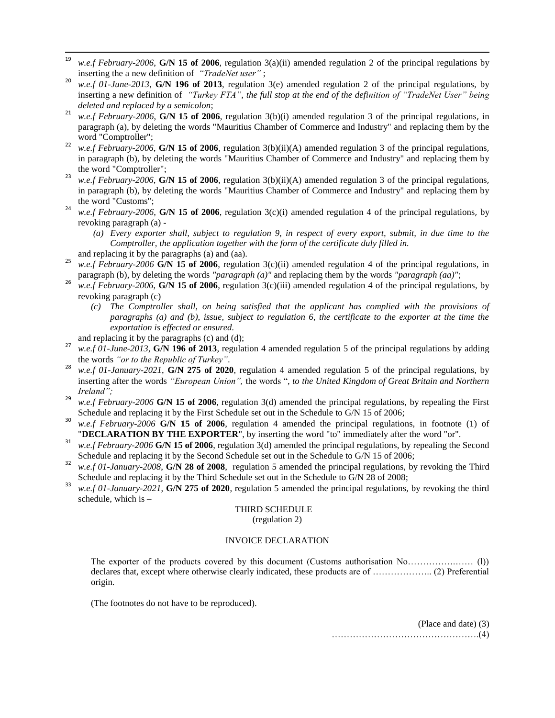- 19 w.e.f February-2006, **G/N 15** of 2006, regulation 3(a)(ii) amended regulation 2 of the principal regulations by inserting the a new definition of *"TradeNet user"* ;
- <sup>20</sup> *w.e.f 01-June-2013*, **G/N 196 of 2013**, regulation 3(e) amended regulation 2 of the principal regulations, by inserting a new definition of *"Turkey FTA"*, the full stop at the end of the definition of "TradeNet User" being *deleted and replaced by a semicolon*;
- <sup>21</sup> *w.e.f February-2006*, **G/N 15 of 2006**, regulation  $3(b)(i)$  amended regulation 3 of the principal regulations, in paragraph (a), by deleting the words "Mauritius Chamber of Commerce and Industry" and replacing them by the word "Comptroller";
- <sup>22</sup> *w.e.f February-2006*, **G/N 15 of 2006**, regulation 3(b)(ii)(A) amended regulation 3 of the principal regulations, in paragraph (b), by deleting the words "Mauritius Chamber of Commerce and Industry" and replacing them by the word "Comptroller";
- <sup>23</sup> *w.e.f February-2006*, **G/N 15 of 2006**, regulation 3(b)(ii)(A) amended regulation 3 of the principal regulations, in paragraph (b), by deleting the words "Mauritius Chamber of Commerce and Industry" and replacing them by the word "Customs";
- <sup>24</sup> *w.e.f February-2006*, **G/N 15 of 2006**, regulation  $3(c)(i)$  amended regulation 4 of the principal regulations, by revoking paragraph (a) -
	- *(a) Every exporter shall, subject to regulation 9, in respect of every export, submit, in due time to the Comptroller, the application together with the form of the certificate duly filled in.*

and replacing it by the paragraphs (a) and (aa).

- <sup>25</sup> *w.e.f February-2006* **G/N 15 of 2006**, regulation 3(c)(ii) amended regulation 4 of the principal regulations, in paragraph (b), by deleting the words *"paragraph (a)"* and replacing them by the words *"paragraph (aa)"*;
- <sup>26</sup> *w.e.f February-2006*, **G/N 15 of 2006**, regulation 3(c)(iii) amended regulation 4 of the principal regulations, by revoking paragraph (c) –
	- *(c) The Comptroller shall, on being satisfied that the applicant has complied with the provisions of paragraphs (a) and (b), issue, subject to regulation 6, the certificate to the exporter at the time the exportation is effected or ensured.*
- and replacing it by the paragraphs (c) and (d);
- <sup>27</sup> *w.e.f 01-June-2013*, **G/N 196 of 2013**, regulation 4 amended regulation 5 of the principal regulations by adding the words *"or to the Republic of Turkey"*.
- <sup>28</sup> *w.e.f 01-January-2021*, **G/N 275 of 2020**, regulation 4 amended regulation 5 of the principal regulations, by inserting after the words *"European Union",* the words "*, to the United Kingdom of Great Britain and Northern Ireland";*
- <sup>29</sup> *w.e.f February-2006* **G/N 15 of 2006**, regulation 3(d) amended the principal regulations, by repealing the First Schedule and replacing it by the First Schedule set out in the Schedule to G/N 15 of 2006;
- <sup>30</sup> *w.e.f February-2006* **G/N 15 of 2006**, regulation 4 amended the principal regulations, in footnote (1) of "**DECLARATION BY THE EXPORTER**", by inserting the word "to" immediately after the word "or".
- <sup>31</sup> *w.e.f February-2006* **G/N 15 of 2006**, regulation 3(d) amended the principal regulations, by repealing the Second Schedule and replacing it by the Second Schedule set out in the Schedule to G/N 15 of 2006;
- <sup>32</sup> *w.e.f 01-January-2008*, **G/N 28 of 2008**, regulation 5 amended the principal regulations, by revoking the Third Schedule and replacing it by the Third Schedule set out in the Schedule to G/N 28 of 2008;
- w.e.f 01-January-2021, **G/N 275 of 2020**, regulation 5 amended the principal regulations, by revoking the third schedule, which is –

# THIRD SCHEDULE

(regulation 2)

#### INVOICE DECLARATION

The exporter of the products covered by this document (Customs authorisation No…………….…… (l)) declares that, except where otherwise clearly indicated, these products are of ……………….. (2) Preferential origin.

(The footnotes do not have to be reproduced).

(Place and date) (3) ………………………………………….(4)